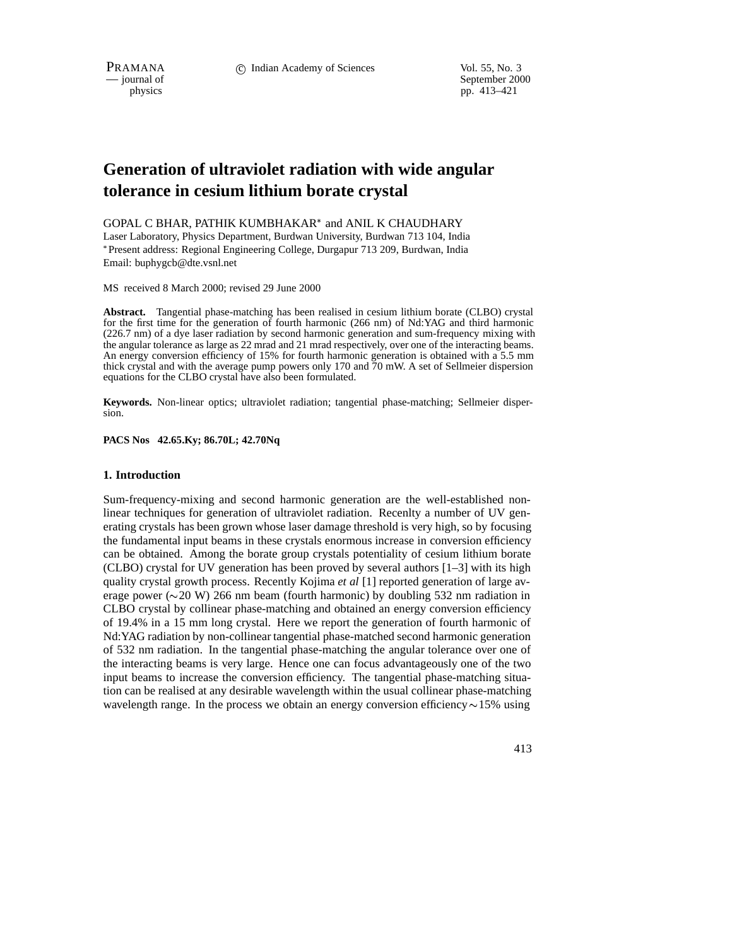September 2000 physics pp. 413–421

# **Generation of ultraviolet radiation with wide angular tolerance in cesium lithium borate crystal**

GOPAL C BHAR, PATHIK KUMBHAKAR<sup>\*</sup> and ANIL K CHAUDHARY Laser Laboratory, Physics Department, Burdwan University, Burdwan 713 104, India Present address: Regional Engineering College, Durgapur 713 209, Burdwan, India Email: buphygcb@dte.vsnl.net

MS received 8 March 2000; revised 29 June 2000

**Abstract.** Tangential phase-matching has been realised in cesium lithium borate (CLBO) crystal for the first time for the generation of fourth harmonic (266 nm) of Nd:YAG and third harmonic (226.7 nm) of a dye laser radiation by second harmonic generation and sum-frequency mixing with the angular tolerance as large as 22 mrad and 21 mrad respectively, over one of the interacting beams. An energy conversion efficiency of 15% for fourth harmonic generation is obtained with a 5.5 mm thick crystal and with the average pump powers only 170 and 70 mW. A set of Sellmeier dispersion equations for the CLBO crystal have also been formulated.

**Keywords.** Non-linear optics; ultraviolet radiation; tangential phase-matching; Sellmeier dispersion.

**PACS Nos 42.65.Ky; 86.70L; 42.70Nq**

## **1. Introduction**

Sum-frequency-mixing and second harmonic generation are the well-established nonlinear techniques for generation of ultraviolet radiation. Recenlty a number of UV generating crystals has been grown whose laser damage threshold is very high, so by focusing the fundamental input beams in these crystals enormous increase in conversion efficiency can be obtained. Among the borate group crystals potentiality of cesium lithium borate (CLBO) crystal for UV generation has been proved by several authors  $[1-3]$  with its high quality crystal growth process. Recently Kojima *et al* [1] reported generation of large average power ( $\sim$ 20 W) 266 nm beam (fourth harmonic) by doubling 532 nm radiation in CLBO crystal by collinear phase-matching and obtained an energy conversion efficiency of 19.4% in a 15 mm long crystal. Here we report the generation of fourth harmonic of Nd:YAG radiation by non-collinear tangential phase-matched second harmonic generation of 532 nm radiation. In the tangential phase-matching the angular tolerance over one of the interacting beams is very large. Hence one can focus advantageously one of the two input beams to increase the conversion efficiency. The tangential phase-matching situation can be realised at any desirable wavelength within the usual collinear phase-matching wavelength range. In the process we obtain an energy conversion efficiency  $\sim$  15% using

413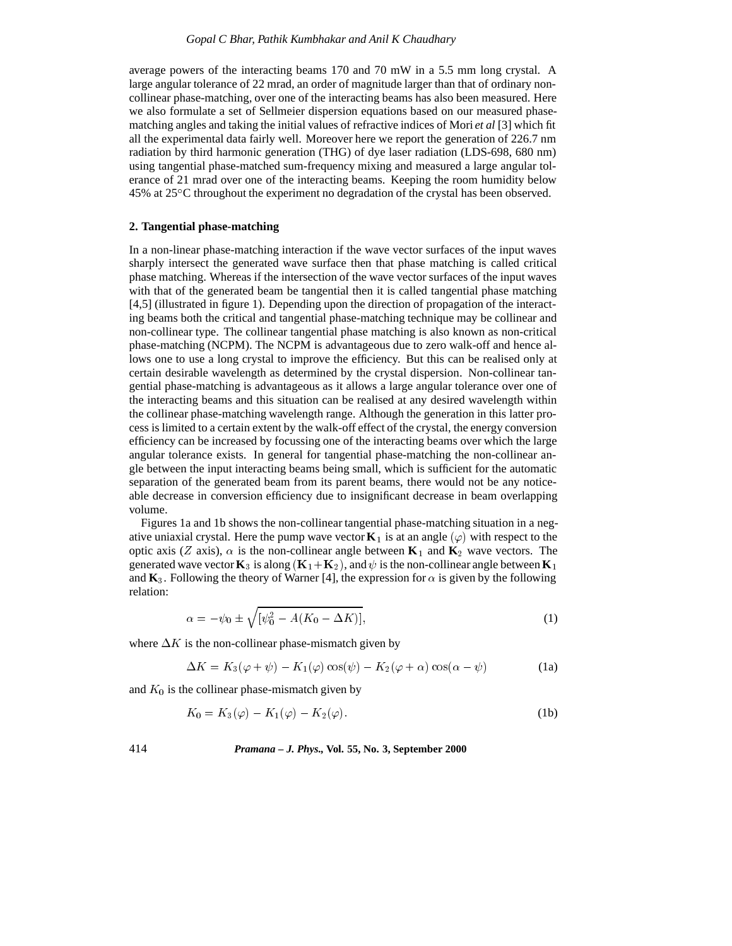average powers of the interacting beams 170 and 70 mW in a 5.5 mm long crystal. A large angular tolerance of 22 mrad, an order of magnitude larger than that of ordinary noncollinear phase-matching, over one of the interacting beams has also been measured. Here we also formulate a set of Sellmeier dispersion equations based on our measured phasematching angles and taking the initial values of refractive indices of Mori *et al* [3] which fit all the experimental data fairly well. Moreover here we report the generation of 226.7 nm radiation by third harmonic generation (THG) of dye laser radiation (LDS-698, 680 nm) using tangential phase-matched sum-frequency mixing and measured a large angular tolerance of 21 mrad over one of the interacting beams. Keeping the room humidity below 45% at 25 C throughout the experiment no degradation of the crystal has been observed.

### **2. Tangential phase-matching**

In a non-linear phase-matching interaction if the wave vector surfaces of the input waves sharply intersect the generated wave surface then that phase matching is called critical phase matching. Whereas if the intersection of the wave vector surfaces of the input waves with that of the generated beam be tangential then it is called tangential phase matching [4,5] (illustrated in figure 1). Depending upon the direction of propagation of the interacting beams both the critical and tangential phase-matching technique may be collinear and non-collinear type. The collinear tangential phase matching is also known as non-critical phase-matching (NCPM). The NCPM is advantageous due to zero walk-off and hence allows one to use a long crystal to improve the efficiency. But this can be realised only at certain desirable wavelength as determined by the crystal dispersion. Non-collinear tangential phase-matching is advantageous as it allows a large angular tolerance over one of the interacting beams and this situation can be realised at any desired wavelength within the collinear phase-matching wavelength range. Although the generation in this latter process is limited to a certain extent by the walk-off effect of the crystal, the energy conversion efficiency can be increased by focussing one of the interacting beams over which the large angular tolerance exists. In general for tangential phase-matching the non-collinear angle between the input interacting beams being small, which is sufficient for the automatic separation of the generated beam from its parent beams, there would not be any noticeable decrease in conversion efficiency due to insignificant decrease in beam overlapping volume.

Figures 1a and 1b shows the non-collinear tangential phase-matching situation in a negative uniaxial crystal. Here the pump wave vector  $K_1$  is at an angle  $(\varphi)$  with respect to the optic axis (Z axis),  $\alpha$  is the non-collinear angle between  $\mathbf{K}_1$  and  $\mathbf{K}_2$  wave vectors. The generated wave vector  $\mathbf{K}_3$  is along ( $\mathbf{K}_1 + \mathbf{K}_2$ ), and  $\psi$  is the non-collinear angle between  $\mathbf{K}_1$ and  $\mathbf{K}_3$ . Following the theory of Warner [4], the expression for  $\alpha$  is given by the following relation:

$$
\alpha = -\psi_0 \pm \sqrt{[\psi_0^2 - A(K_0 - \Delta K)]}, \tag{1}
$$

where  $\Delta K$  is the non-collinear phase-mismatch given by

$$
\Delta K = K_3(\varphi + \psi) - K_1(\varphi)\cos(\psi) - K_2(\varphi + \alpha)\cos(\alpha - \psi)
$$
 (1a)

and  $K_0$  is the collinear phase-mismatch given by

$$
K_0 = K_3(\varphi) - K_1(\varphi) - K_2(\varphi). \tag{1b}
$$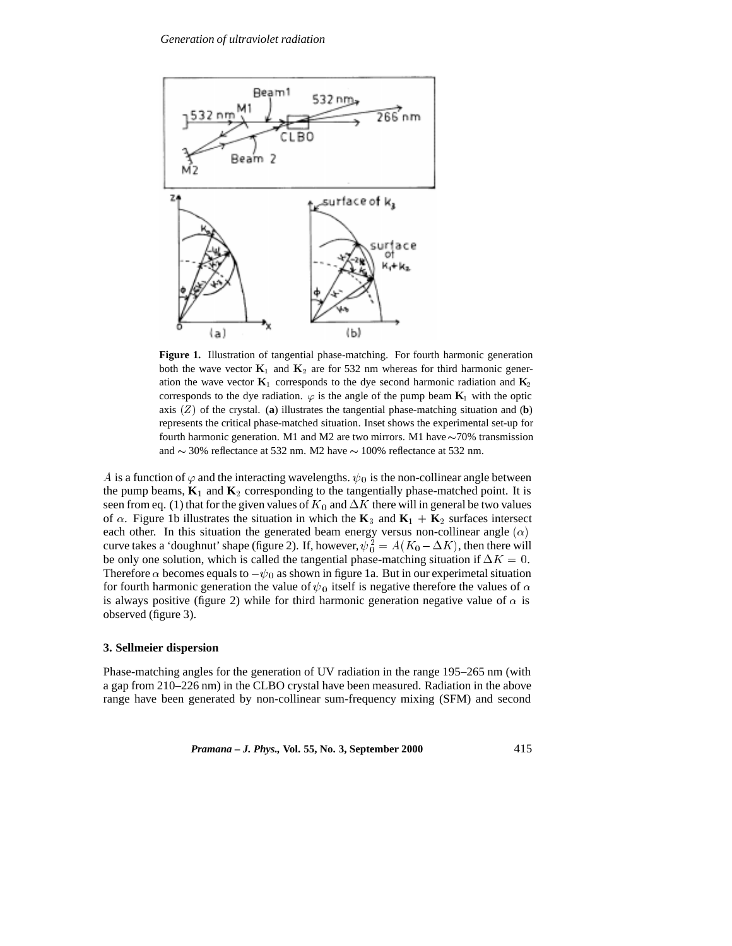

**Figure 1.** Illustration of tangential phase-matching. For fourth harmonic generation both the wave vector  $K_1$  and  $K_2$  are for 532 nm whereas for third harmonic generation the wave vector  $\mathbf{K}_1$  corresponds to the dye second harmonic radiation and  $\mathbf{K}_2$ corresponds to the dye radiation.  $\varphi$  is the angle of the pump beam  $\mathbf{K}_1$  with the optic axis  $(Z)$  of the crystal. (**a**) illustrates the tangential phase-matching situation and (**b**) represents the critical phase-matched situation. Inset shows the experimental set-up for fourth harmonic generation. M1 and M2 are two mirrors. M1 have  $\sim$ 70% transmission and  $\sim$  30% reflectance at 532 nm. M2 have  $\sim$  100% reflectance at 532 nm.

A is a function of  $\varphi$  and the interacting wavelengths.  $\psi_0$  is the non-collinear angle between the pump beams,  $\mathbf{K}_1$  and  $\mathbf{K}_2$  corresponding to the tangentially phase-matched point. It is seen from eq. (1) that for the given values of  $K_0$  and  $\Delta K$  there will in general be two values of  $\alpha$ . Figure 1b illustrates the situation in which the **K**<sub>3</sub> and **K**<sub>1</sub> + **K**<sub>2</sub> surfaces intersect each other. In this situation the generated beam energy versus non-collinear angle  $(\alpha)$ curve takes a 'doughnut' shape (figure 2). If, however,  $\psi_0^2 = A(K_0 - \Delta K)$ , then there will be only one solution, which is called the tangential phase-matching situation if  $\Delta K = 0$ . Therefore  $\alpha$  becomes equals to  $-\psi_0$  as shown in figure 1a. But in our experimetal situation for fourth harmonic generation the value of  $\psi_0$  itself is negative therefore the values of  $\alpha$ is always positive (figure 2) while for third harmonic generation negative value of  $\alpha$  is observed (figure 3).

## **3. Sellmeier dispersion**

Phase-matching angles for the generation of UV radiation in the range 195–265 nm (with a gap from 210–226 nm) in the CLBO crystal have been measured. Radiation in the above range have been generated by non-collinear sum-frequency mixing (SFM) and second

*Pramana – J. Phys.,* **Vol. 55, No. 3, September 2000** 415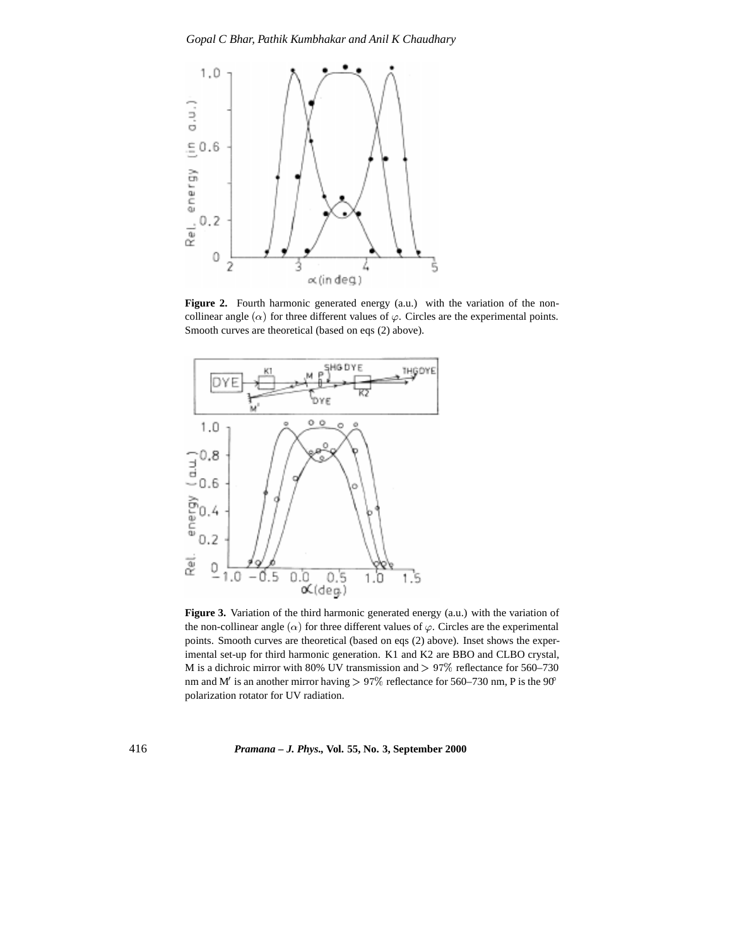

Figure 2. Fourth harmonic generated energy (a.u.) with the variation of the noncollinear angle  $(\alpha)$  for three different values of  $\varphi$ . Circles are the experimental points. Smooth curves are theoretical (based on eqs (2) above).



**Figure 3.** Variation of the third harmonic generated energy (a.u.) with the variation of the non-collinear angle  $(\alpha)$  for three different values of  $\varphi$ . Circles are the experimental points. Smooth curves are theoretical (based on eqs (2) above). Inset shows the experimental set-up for third harmonic generation. K1 and K2 are BBO and CLBO crystal, M is a dichroic mirror with 80% UV transmission and  $> 97\%$  reflectance for 560–730 nm and M<sup>'</sup> is an another mirror having  $> 97\%$  reflectance for 560–730 nm, P is the 90<sup>°</sup> polarization rotator for UV radiation.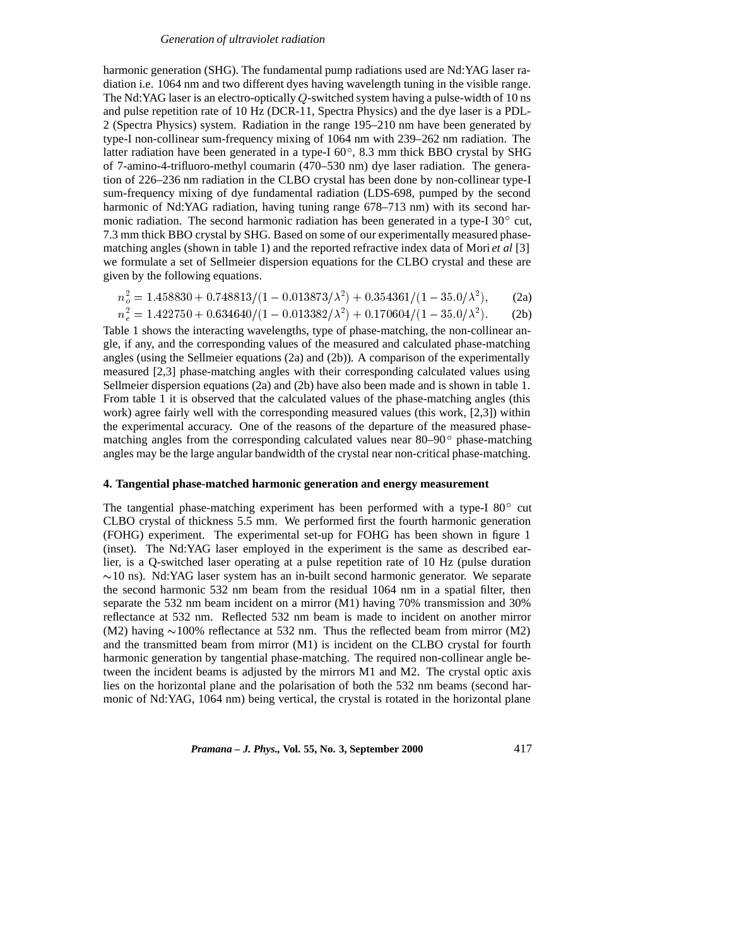#### *Generation of ultraviolet radiation*

harmonic generation (SHG). The fundamental pump radiations used are Nd:YAG laser radiation i.e. 1064 nm and two different dyes having wavelength tuning in the visible range. The Nd:YAG laser is an electro-optically  $Q$ -switched system having a pulse-width of 10 ns and pulse repetition rate of 10 Hz (DCR-11, Spectra Physics) and the dye laser is a PDL-2 (Spectra Physics) system. Radiation in the range 195–210 nm have been generated by type-I non-collinear sum-frequency mixing of 1064 nm with 239–262 nm radiation. The latter radiation have been generated in a type-I  $60^{\circ}$ , 8.3 mm thick BBO crystal by SHG of 7-amino-4-trifluoro-methyl coumarin (470–530 nm) dye laser radiation. The generation of 226–236 nm radiation in the CLBO crystal has been done by non-collinear type-I sum-frequency mixing of dye fundamental radiation (LDS-698, pumped by the second harmonic of Nd:YAG radiation, having tuning range 678–713 nm) with its second harmonic radiation. The second harmonic radiation has been generated in a type-I  $30^{\circ}$  cut, 7.3 mm thick BBO crystal by SHG. Based on some of our experimentally measured phasematching angles (shown in table 1) and the reported refractive index data of Mori *et al* [3] we formulate a set of Sellmeier dispersion equations for the CLBO crystal and these are given by the following equations.

$$
n_o^2 = 1.458830 + 0.748813/(1 - 0.013873/\lambda^2) + 0.354361/(1 - 35.0/\lambda^2),
$$
 (2a)

$$
n_e^2 = 1.422750 + 0.634640/(1 - 0.013382/\lambda^2) + 0.170604/(1 - 35.0/\lambda^2). \tag{2b}
$$

Table 1 shows the interacting wavelengths, type of phase-matching, the non-collinear angle, if any, and the corresponding values of the measured and calculated phase-matching angles (using the Sellmeier equations (2a) and (2b)). A comparison of the experimentally measured [2,3] phase-matching angles with their corresponding calculated values using Sellmeier dispersion equations (2a) and (2b) have also been made and is shown in table 1. From table 1 it is observed that the calculated values of the phase-matching angles (this work) agree fairly well with the corresponding measured values (this work, [2,3]) within the experimental accuracy. One of the reasons of the departure of the measured phasematching angles from the corresponding calculated values near  $80-90^\circ$  phase-matching angles may be the large angular bandwidth of the crystal near non-critical phase-matching.

## **4. Tangential phase-matched harmonic generation and energy measurement**

The tangential phase-matching experiment has been performed with a type-I  $80^{\circ}$  cut CLBO crystal of thickness 5.5 mm. We performed first the fourth harmonic generation (FOHG) experiment. The experimental set-up for FOHG has been shown in figure 1 (inset). The Nd:YAG laser employed in the experiment is the same as described earlier, is a Q-switched laser operating at a pulse repetition rate of 10 Hz (pulse duration  $\sim$ 10 ns). Nd:YAG laser system has an in-built second harmonic generator. We separate the second harmonic 532 nm beam from the residual 1064 nm in a spatial filter, then separate the 532 nm beam incident on a mirror (M1) having 70% transmission and 30% reflectance at 532 nm. Reflected 532 nm beam is made to incident on another mirror (M2) having  $\sim$ 100% reflectance at 532 nm. Thus the reflected beam from mirror (M2) and the transmitted beam from mirror (M1) is incident on the CLBO crystal for fourth harmonic generation by tangential phase-matching. The required non-collinear angle between the incident beams is adjusted by the mirrors M1 and M2. The crystal optic axis lies on the horizontal plane and the polarisation of both the 532 nm beams (second harmonic of Nd:YAG, 1064 nm) being vertical, the crystal is rotated in the horizontal plane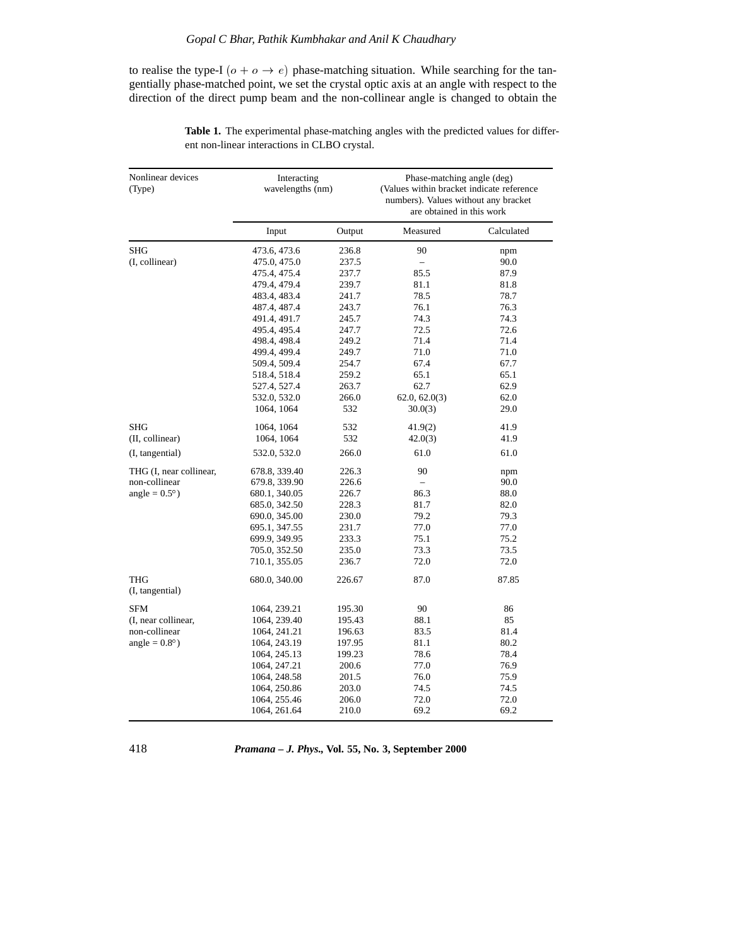to realise the type-I ( $o + o \rightarrow e$ ) phase-matching situation. While searching for the tangentially phase-matched point, we set the crystal optic axis at an angle with respect to the direction of the direct pump beam and the non-collinear angle is changed to obtain the

| Nonlinear devices<br>(Type)   | Interacting<br>wavelengths (nm) |        | Phase-matching angle (deg)<br>(Values within bracket indicate reference<br>numbers). Values without any bracket<br>are obtained in this work |            |
|-------------------------------|---------------------------------|--------|----------------------------------------------------------------------------------------------------------------------------------------------|------------|
|                               | Input                           | Output | Measured                                                                                                                                     | Calculated |
| <b>SHG</b>                    | 473.6, 473.6                    | 236.8  | 90                                                                                                                                           | npm        |
| (I, collinear)                | 475.0, 475.0                    | 237.5  |                                                                                                                                              | 90.0       |
|                               | 475.4, 475.4                    | 237.7  | 85.5                                                                                                                                         | 87.9       |
|                               | 479.4, 479.4                    | 239.7  | 81.1                                                                                                                                         | 81.8       |
|                               | 483.4, 483.4                    | 241.7  | 78.5                                                                                                                                         | 78.7       |
|                               | 487.4, 487.4                    | 243.7  | 76.1                                                                                                                                         | 76.3       |
|                               | 491.4, 491.7                    | 245.7  | 74.3                                                                                                                                         | 74.3       |
|                               | 495.4, 495.4                    | 247.7  | 72.5                                                                                                                                         | 72.6       |
|                               | 498.4, 498.4                    | 249.2  | 71.4                                                                                                                                         | 71.4       |
|                               | 499.4, 499.4                    | 249.7  | 71.0                                                                                                                                         | 71.0       |
|                               | 509.4, 509.4                    | 254.7  | 67.4                                                                                                                                         | 67.7       |
|                               | 518.4, 518.4                    | 259.2  | 65.1                                                                                                                                         | 65.1       |
|                               | 527.4, 527.4                    | 263.7  | 62.7                                                                                                                                         | 62.9       |
|                               | 532.0, 532.0                    | 266.0  | 62.0, 62.0(3)                                                                                                                                | 62.0       |
|                               | 1064, 1064                      | 532    | 30.0(3)                                                                                                                                      | 29.0       |
| <b>SHG</b>                    | 1064, 1064                      | 532    | 41.9(2)                                                                                                                                      | 41.9       |
| (II, collinear)               | 1064, 1064                      | 532    | 42.0(3)                                                                                                                                      | 41.9       |
| (I, tangential)               | 532.0, 532.0                    | 266.0  | 61.0                                                                                                                                         | 61.0       |
| THG (I, near collinear,       | 678.8, 339.40                   | 226.3  | 90                                                                                                                                           | npm        |
| non-collinear                 | 679.8, 339.90                   | 226.6  |                                                                                                                                              | 90.0       |
| angle = $0.5^{\circ}$ )       | 680.1, 340.05                   | 226.7  | 86.3                                                                                                                                         | 88.0       |
|                               | 685.0, 342.50                   | 228.3  | 81.7                                                                                                                                         | 82.0       |
|                               | 690.0, 345.00                   | 230.0  | 79.2                                                                                                                                         | 79.3       |
|                               | 695.1, 347.55                   | 231.7  | 77.0                                                                                                                                         | 77.0       |
|                               | 699.9, 349.95                   | 233.3  | 75.1                                                                                                                                         | 75.2       |
|                               | 705.0, 352.50                   | 235.0  | 73.3                                                                                                                                         | 73.5       |
|                               | 710.1, 355.05                   | 236.7  | 72.0                                                                                                                                         | 72.0       |
| <b>THG</b><br>(I, tangential) | 680.0, 340.00                   | 226.67 | 87.0                                                                                                                                         | 87.85      |
| <b>SFM</b>                    | 1064, 239.21                    | 195.30 | 90                                                                                                                                           | 86         |
| (I, near collinear,           | 1064, 239.40                    | 195.43 | 88.1                                                                                                                                         | 85         |
| non-collinear                 | 1064, 241.21                    | 196.63 | 83.5                                                                                                                                         | 81.4       |
| angle = $0.8^\circ$ )         | 1064, 243.19                    | 197.95 | 81.1                                                                                                                                         | 80.2       |
|                               | 1064, 245.13                    | 199.23 | 78.6                                                                                                                                         | 78.4       |
|                               | 1064, 247.21                    | 200.6  | 77.0                                                                                                                                         | 76.9       |
|                               | 1064, 248.58                    | 201.5  | 76.0                                                                                                                                         | 75.9       |
|                               | 1064, 250.86                    | 203.0  | 74.5                                                                                                                                         | 74.5       |
|                               | 1064, 255.46                    | 206.0  | 72.0                                                                                                                                         | 72.0       |
|                               | 1064, 261.64                    | 210.0  | 69.2                                                                                                                                         | 69.2       |

**Table 1.** The experimental phase-matching angles with the predicted values for different non-linear interactions in CLBO crystal.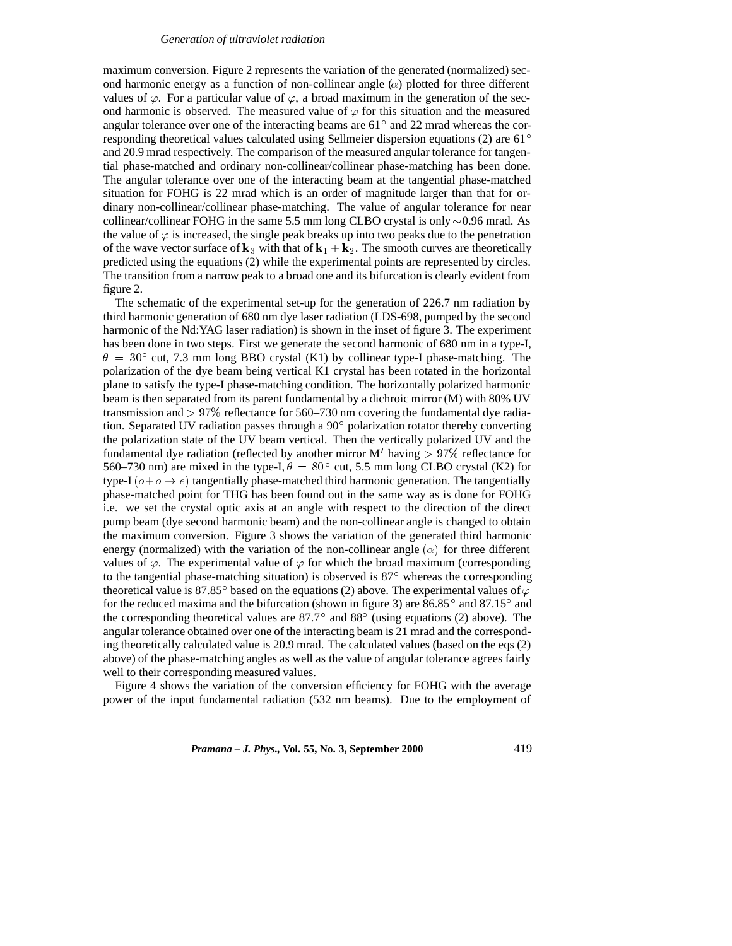#### *Generation of ultraviolet radiation*

maximum conversion. Figure 2 represents the variation of the generated (normalized) second harmonic energy as a function of non-collinear angle  $(\alpha)$  plotted for three different values of  $\varphi$ . For a particular value of  $\varphi$ , a broad maximum in the generation of the second harmonic is observed. The measured value of  $\varphi$  for this situation and the measured angular tolerance over one of the interacting beams are  $61^\circ$  and 22 mrad whereas the corresponding theoretical values calculated using Sellmeier dispersion equations (2) are 61 and 20.9 mrad respectively. The comparison of the measured angular tolerance for tangential phase-matched and ordinary non-collinear/collinear phase-matching has been done. The angular tolerance over one of the interacting beam at the tangential phase-matched situation for FOHG is 22 mrad which is an order of magnitude larger than that for ordinary non-collinear/collinear phase-matching. The value of angular tolerance for near collinear/collinear FOHG in the same 5.5 mm long CLBO crystal is only  $\sim 0.96$  mrad. As the value of  $\varphi$  is increased, the single peak breaks up into two peaks due to the penetration of the wave vector surface of  $k_3$  with that of  $k_1 + k_2$ . The smooth curves are theoretically predicted using the equations (2) while the experimental points are represented by circles. The transition from a narrow peak to a broad one and its bifurcation is clearly evident from figure 2.

The schematic of the experimental set-up for the generation of 226.7 nm radiation by third harmonic generation of 680 nm dye laser radiation (LDS-698, pumped by the second harmonic of the Nd:YAG laser radiation) is shown in the inset of figure 3. The experiment has been done in two steps. First we generate the second harmonic of 680 nm in a type-I,  $\theta = 30^{\circ}$  cut, 7.3 mm long BBO crystal (K1) by collinear type-I phase-matching. The polarization of the dye beam being vertical K1 crystal has been rotated in the horizontal plane to satisfy the type-I phase-matching condition. The horizontally polarized harmonic beam is then separated from its parent fundamental by a dichroic mirror (M) with 80% UV transmission and  $> 97\%$  reflectance for 560–730 nm covering the fundamental dye radiation. Separated UV radiation passes through a  $90^{\circ}$  polarization rotator thereby converting the polarization state of the UV beam vertical. Then the vertically polarized UV and the fundamental dye radiation (reflected by another mirror M' having  $> 97\%$  reflectance for 560–730 nm) are mixed in the type-I,  $\theta = 80^{\circ}$  cut, 5.5 mm long CLBO crystal (K2) for type-I  $(o+o \rightarrow e)$  tangentially phase-matched third harmonic generation. The tangentially phase-matched point for THG has been found out in the same way as is done for FOHG i.e. we set the crystal optic axis at an angle with respect to the direction of the direct pump beam (dye second harmonic beam) and the non-collinear angle is changed to obtain the maximum conversion. Figure 3 shows the variation of the generated third harmonic energy (normalized) with the variation of the non-collinear angle  $(\alpha)$  for three different values of  $\varphi$ . The experimental value of  $\varphi$  for which the broad maximum (corresponding to the tangential phase-matching situation) is observed is  $87^\circ$  whereas the corresponding theoretical value is 87.85 $^{\circ}$  based on the equations (2) above. The experimental values of  $\varphi$ for the reduced maxima and the bifurcation (shown in figure 3) are  $86.85^{\circ}$  and  $87.15^{\circ}$  and the corresponding theoretical values are  $87.7^{\circ}$  and  $88^{\circ}$  (using equations (2) above). The angular tolerance obtained over one of the interacting beam is 21 mrad and the corresponding theoretically calculated value is 20.9 mrad. The calculated values (based on the eqs (2) above) of the phase-matching angles as well as the value of angular tolerance agrees fairly well to their corresponding measured values.

Figure 4 shows the variation of the conversion efficiency for FOHG with the average power of the input fundamental radiation (532 nm beams). Due to the employment of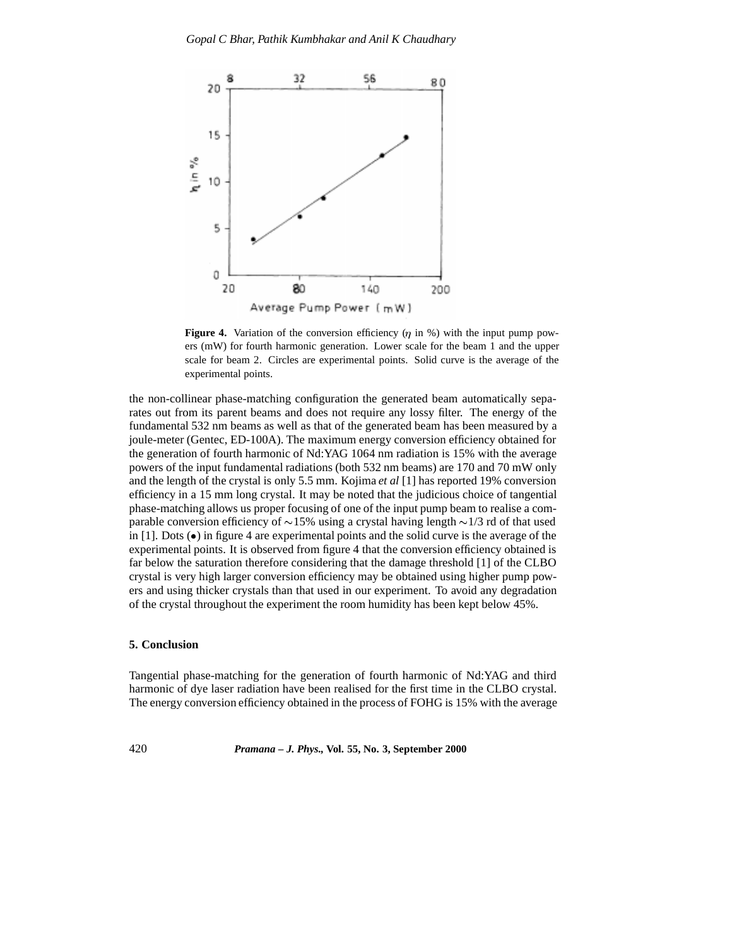

**Figure 4.** Variation of the conversion efficiency  $(\eta$  in %) with the input pump powers (mW) for fourth harmonic generation. Lower scale for the beam 1 and the upper scale for beam 2. Circles are experimental points. Solid curve is the average of the experimental points.

the non-collinear phase-matching configuration the generated beam automatically separates out from its parent beams and does not require any lossy filter. The energy of the fundamental 532 nm beams as well as that of the generated beam has been measured by a joule-meter (Gentec, ED-100A). The maximum energy conversion efficiency obtained for the generation of fourth harmonic of Nd:YAG 1064 nm radiation is 15% with the average powers of the input fundamental radiations (both 532 nm beams) are 170 and 70 mW only and the length of the crystal is only 5.5 mm. Kojima *et al* [1] has reported 19% conversion efficiency in a 15 mm long crystal. It may be noted that the judicious choice of tangential phase-matching allows us proper focusing of one of the input pump beam to realise a comparable conversion efficiency of  $\sim$ 15% using a crystal having length  $\sim$ 1/3 rd of that used in [1]. Dots  $\left( \bullet \right)$  in figure 4 are experimental points and the solid curve is the average of the experimental points. It is observed from figure 4 that the conversion efficiency obtained is far below the saturation therefore considering that the damage threshold [1] of the CLBO crystal is very high larger conversion efficiency may be obtained using higher pump powers and using thicker crystals than that used in our experiment. To avoid any degradation of the crystal throughout the experiment the room humidity has been kept below 45%.

# **5. Conclusion**

Tangential phase-matching for the generation of fourth harmonic of Nd:YAG and third harmonic of dye laser radiation have been realised for the first time in the CLBO crystal. The energy conversion efficiency obtained in the process of FOHG is 15% with the average